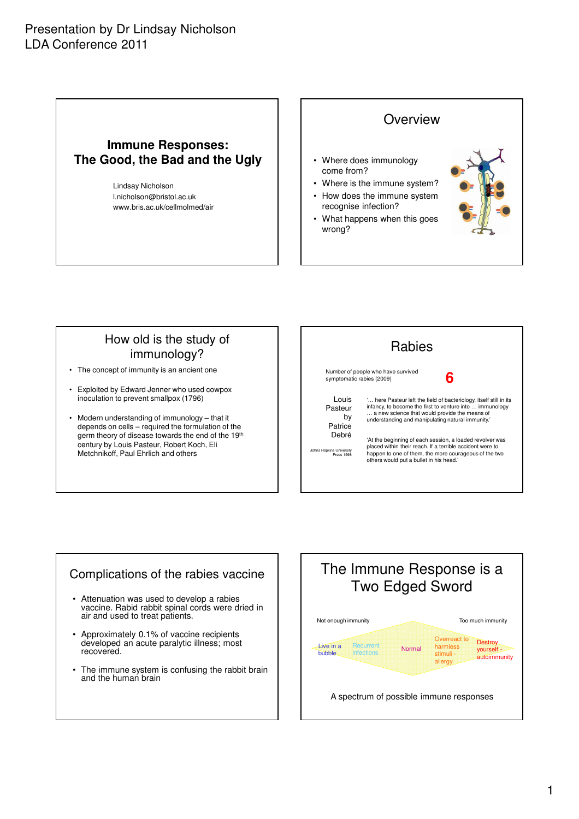#### **Immune Responses: The Good, the Bad and the Ugly**

Lindsay Nicholson l.nicholson@bristol.ac.uk www.bris.ac.uk/cellmolmed/air



#### How old is the study of immunology?

- The concept of immunity is an ancient one
- Exploited by Edward Jenner who used cowpox inoculation to prevent smallpox (1796)
- Modern understanding of immunology that it depends on cells – required the formulation of the germ theory of disease towards the end of the 19th century by Louis Pasteur, Robert Koch, Eli Metchnikoff, Paul Ehrlich and others

| <b>Rabies</b>                                                                        |                                                                                                                                                                                                                                                                                                                                                                                                                                                                   |
|--------------------------------------------------------------------------------------|-------------------------------------------------------------------------------------------------------------------------------------------------------------------------------------------------------------------------------------------------------------------------------------------------------------------------------------------------------------------------------------------------------------------------------------------------------------------|
| Number of people who have survived<br>6<br>symptomatic rabies (2009)                 |                                                                                                                                                                                                                                                                                                                                                                                                                                                                   |
| Louis<br>Pasteur<br>b٧<br>Patrice<br>Debré<br>Johns Hopkins University<br>Press 1998 | ' here Pasteur left the field of bacteriology, itself still in its<br>infancy, to become the first to venture into  immunology<br>a new science that would provide the means of<br>understanding and manipulating natural immunity.'<br>'At the beginning of each session, a loaded revolver was<br>placed within their reach. If a terrible accident were to<br>happen to one of them, the more courageous of the two<br>others would put a bullet in his head.' |

#### Complications of the rabies vaccine

- Attenuation was used to develop a rabies vaccine. Rabid rabbit spinal cords were dried in air and used to treat patients.
- Approximately 0.1% of vaccine recipients developed an acute paralytic illness; most recovered.
- The immune system is confusing the rabbit brain and the human brain

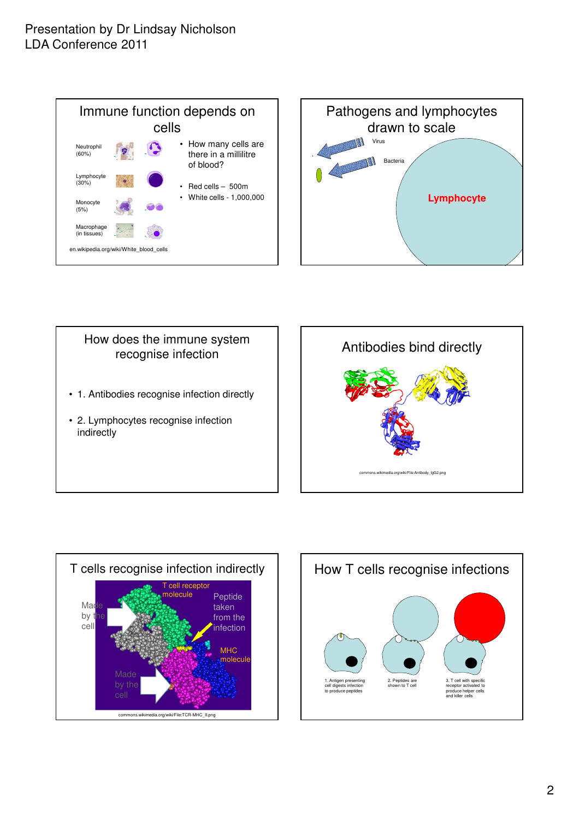







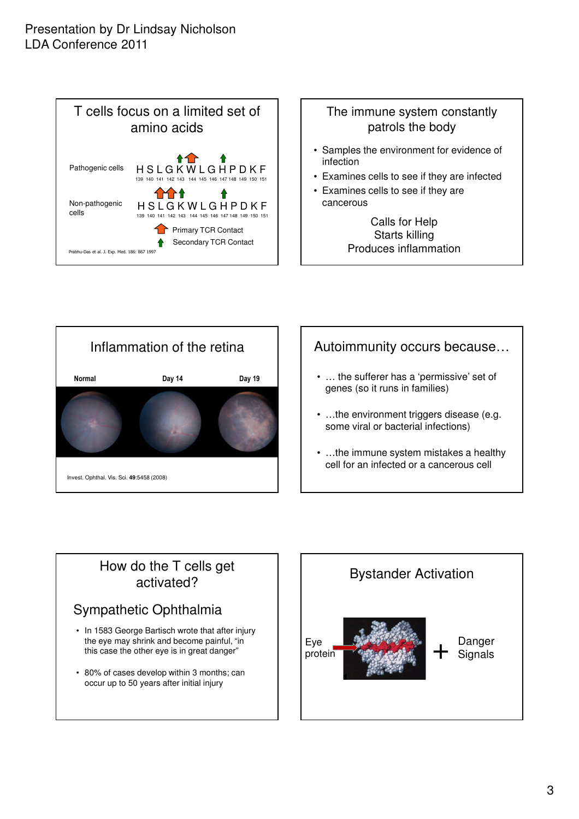



- Samples the environment for evidence of infection
- Examines cells to see if they are infected
- Examines cells to see if they are cancerous
	- Calls for Help Starts killing Produces inflammation



# Autoimmunity occurs because…

- … the sufferer has a 'permissive' set of genes (so it runs in families)
- ...the environment triggers disease (e.g. some viral or bacterial infections)
- …the immune system mistakes a healthy cell for an infected or a cancerous cell

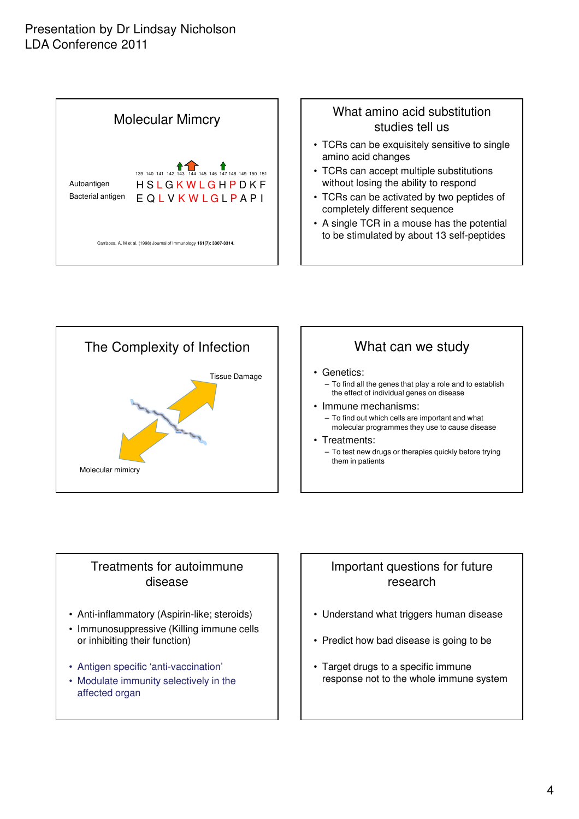



## Treatments for autoimmune disease

- Anti-inflammatory (Aspirin-like; steroids)
- Immunosuppressive (Killing immune cells or inhibiting their function)
- Antigen specific 'anti-vaccination'
- Modulate immunity selectively in the affected organ

## Important questions for future research

- Understand what triggers human disease
- Predict how bad disease is going to be
- Target drugs to a specific immune response not to the whole immune system